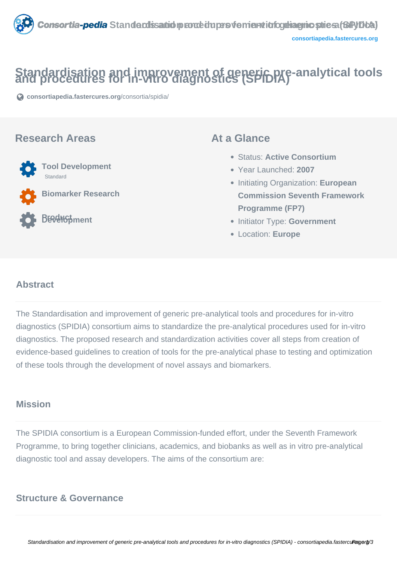

# Standardisation and improvement of generic pre-analytical tools<br>and procedures for in-vitro diagnostics (SPIDIA)

**[consortiapedia.fastercures.org](https://consortiapedia.fastercures.org/consortia/spidia/)**[/consortia/spidia/](https://consortiapedia.fastercures.org/consortia/spidia/)

### **Research Areas**



**Biomarker Research**

## **Product** BEPGHSpment

### **At a Glance**

- Status: **Active Consortium**
- Year Launched: **2007**
- Initiating Organization: **European Commission Seventh Framework Programme (FP7)**
- **Initiator Type: Government**
- Location: **Europe**

#### $\overline{a}$ **Abstract**

The Standardisation and improvement of generic pre-analytical tools and procedures for in-vitro diagnostics (SPIDIA) consortium aims to standardize the pre-analytical procedures used for in-vitro diagnostics. The proposed research and standardization activities cover all steps from creation of evidence-based guidelines to creation of tools for the pre-analytical phase to testing and optimization of these tools through the development of novel assays and biomarkers.

# **Mission**

The SPIDIA consortium is a European Commission-funded effort, under the Seventh Framework Programme, to bring together clinicians, academics, and biobanks as well as in vitro pre-analytical diagnostic tool and assay developers. The aims of the consortium are:

# **Structure & Governance**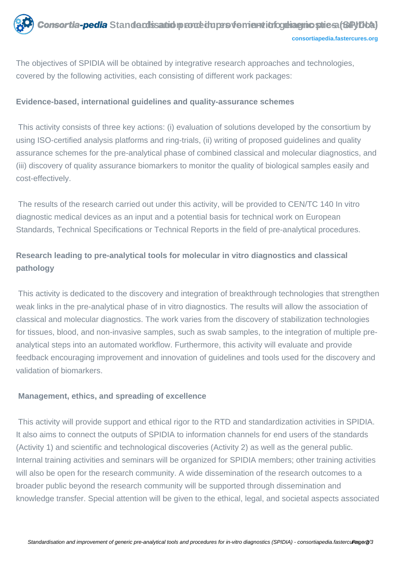The objectives of SPIDIA will be obtained by integrative research approaches and technologies, covered by the following activities, each consisting of different work packages:

#### **Evidence-based, international guidelines and quality-assurance schemes**

 This activity consists of three key actions: (i) evaluation of solutions developed by the consortium by using ISO-certified analysis platforms and ring-trials, (ii) writing of proposed guidelines and quality assurance schemes for the pre-analytical phase of combined classical and molecular diagnostics, and (iii) discovery of quality assurance biomarkers to monitor the quality of biological samples easily and cost-effectively.

 The results of the research carried out under this activity, will be provided to CEN/TC 140 In vitro diagnostic medical devices as an input and a potential basis for technical work on European Standards, Technical Specifications or Technical Reports in the field of pre-analytical procedures.

### **Research leading to pre-analytical tools for molecular in vitro diagnostics and classical pathology**

 This activity is dedicated to the discovery and integration of breakthrough technologies that strengthen weak links in the pre-analytical phase of in vitro diagnostics. The results will allow the association of classical and molecular diagnostics. The work varies from the discovery of stabilization technologies for tissues, blood, and non-invasive samples, such as swab samples, to the integration of multiple preanalytical steps into an automated workflow. Furthermore, this activity will evaluate and provide feedback encouraging improvement and innovation of guidelines and tools used for the discovery and validation of biomarkers.

#### **Management, ethics, and spreading of excellence**

 This activity will provide support and ethical rigor to the RTD and standardization activities in SPIDIA. It also aims to connect the outputs of SPIDIA to information channels for end users of the standards (Activity 1) and scientific and technological discoveries (Activity 2) as well as the general public. Internal training activities and seminars will be organized for SPIDIA members; other training activities will also be open for the research community. A wide dissemination of the research outcomes to a broader public beyond the research community will be supported through dissemination and knowledge transfer. Special attention will be given to the ethical, legal, and societal aspects associated